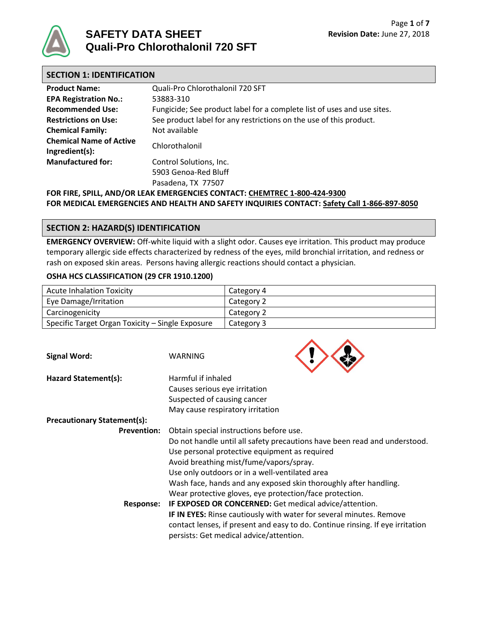

# **SECTION 1: IDENTIFICATION Product Name:** Quali-Pro Chlorothalonil 720 SFT **EPA Registration No.:** 53883-310 **Recommended Use:** Fungicide; See product label for a complete list of uses and use sites. **Restrictions on Use:** See product label for any restrictions on the use of this product. **Chemical Family:** Not available **Chemical Name of Active Ingredient(s):** Chlorothalonil **Manufactured for:** Control Solutions, Inc. 5903 Genoa-Red Bluff Pasadena, TX 77507 **FOR FIRE, SPILL, AND/OR LEAK EMERGENCIES CONTACT: CHEMTREC 1-800-424-9300**

**FOR MEDICAL EMERGENCIES AND HEALTH AND SAFETY INQUIRIES CONTACT: Safety Call 1-866-897-8050**

# **SECTION 2: HAZARD(S) IDENTIFICATION**

**EMERGENCY OVERVIEW:** Off-white liquid with a slight odor. Causes eye irritation. This product may produce temporary allergic side effects characterized by redness of the eyes, mild bronchial irritation, and redness or rash on exposed skin areas. Persons having allergic reactions should contact a physician.

### **OSHA HCS CLASSIFICATION (29 CFR 1910.1200)**

| <b>Acute Inhalation Toxicity</b>                 | Category 4 |
|--------------------------------------------------|------------|
| <b>Eye Damage/Irritation</b>                     | Category 2 |
| Carcinogenicity                                  | Category 2 |
| Specific Target Organ Toxicity - Single Exposure | Category 3 |

 $\wedge$   $\wedge$ 

| <b>Signal Word:</b>                    | WARNING                                                                                                                                                                                                                                                                                                                                                                                                                                                                                                                            |
|----------------------------------------|------------------------------------------------------------------------------------------------------------------------------------------------------------------------------------------------------------------------------------------------------------------------------------------------------------------------------------------------------------------------------------------------------------------------------------------------------------------------------------------------------------------------------------|
| Hazard Statement(s):                   | Harmful if inhaled<br>Causes serious eye irritation<br>Suspected of causing cancer<br>May cause respiratory irritation                                                                                                                                                                                                                                                                                                                                                                                                             |
| <b>Precautionary Statement(s):</b>     |                                                                                                                                                                                                                                                                                                                                                                                                                                                                                                                                    |
| <b>Prevention:</b><br><b>Response:</b> | Obtain special instructions before use.<br>Do not handle until all safety precautions have been read and understood.<br>Use personal protective equipment as required<br>Avoid breathing mist/fume/vapors/spray.<br>Use only outdoors or in a well-ventilated area<br>Wash face, hands and any exposed skin thoroughly after handling.<br>Wear protective gloves, eye protection/face protection.<br>IF EXPOSED OR CONCERNED: Get medical advice/attention.<br>IF IN EYES: Rinse cautiously with water for several minutes. Remove |
|                                        | contact lenses, if present and easy to do. Continue rinsing. If eye irritation<br>persists: Get medical advice/attention.                                                                                                                                                                                                                                                                                                                                                                                                          |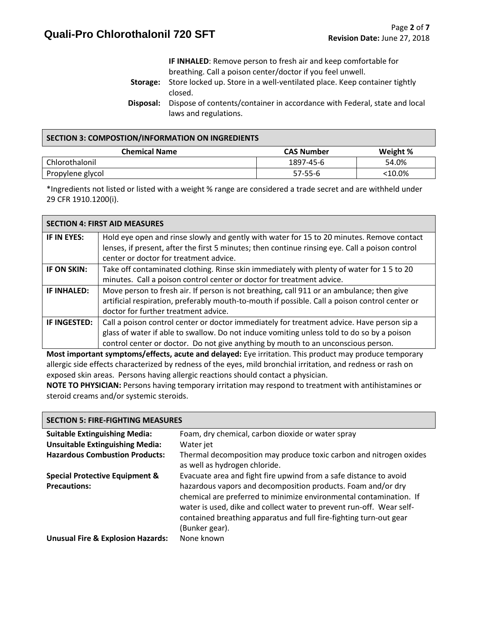# **Quali-Pro Chlorothalonil 720 SFT**

**IF INHALED**: Remove person to fresh air and keep comfortable for breathing. Call a poison center/doctor if you feel unwell. **Storage:** Store locked up. Store in a well-ventilated place. Keep container tightly closed. **Disposal:** Dispose of contents/container in accordance with Federal, state and local laws and regulations.

| SECTION 3: COMPOSTION/INFORMATION ON INGREDIENTS |                   |           |  |
|--------------------------------------------------|-------------------|-----------|--|
| <b>Chemical Name</b>                             | <b>CAS Number</b> | Weight %  |  |
| Chlorothalonil                                   | 1897-45-6         | 54.0%     |  |
| Propylene glycol                                 | 57-55-6           | $<10.0\%$ |  |

\*Ingredients not listed or listed with a weight % range are considered a trade secret and are withheld under 29 CFR 1910.1200(i).

|                     | <b>SECTION 4: FIRST AID MEASURES</b>                                                            |
|---------------------|-------------------------------------------------------------------------------------------------|
| IF IN EYES:         | Hold eye open and rinse slowly and gently with water for 15 to 20 minutes. Remove contact       |
|                     | lenses, if present, after the first 5 minutes; then continue rinsing eye. Call a poison control |
|                     | center or doctor for treatment advice.                                                          |
| IF ON SKIN:         | Take off contaminated clothing. Rinse skin immediately with plenty of water for 15 to 20        |
|                     | minutes. Call a poison control center or doctor for treatment advice.                           |
| IF INHALED:         | Move person to fresh air. If person is not breathing, call 911 or an ambulance; then give       |
|                     | artificial respiration, preferably mouth-to-mouth if possible. Call a poison control center or  |
|                     | doctor for further treatment advice.                                                            |
| <b>IF INGESTED:</b> | Call a poison control center or doctor immediately for treatment advice. Have person sip a      |
|                     | glass of water if able to swallow. Do not induce vomiting unless told to do so by a poison      |
|                     | control center or doctor. Do not give anything by mouth to an unconscious person.               |

**Most important symptoms/effects, acute and delayed:** Eye irritation. This product may produce temporary allergic side effects characterized by redness of the eyes, mild bronchial irritation, and redness or rash on exposed skin areas. Persons having allergic reactions should contact a physician.

**NOTE TO PHYSICIAN:** Persons having temporary irritation may respond to treatment with antihistamines or steroid creams and/or systemic steroids.

| <b>SECTION 5: FIRE-FIGHTING MEASURES</b>     |                                                                                                                                                                                                                                                                                                    |  |  |
|----------------------------------------------|----------------------------------------------------------------------------------------------------------------------------------------------------------------------------------------------------------------------------------------------------------------------------------------------------|--|--|
| <b>Suitable Extinguishing Media:</b>         | Foam, dry chemical, carbon dioxide or water spray                                                                                                                                                                                                                                                  |  |  |
| <b>Unsuitable Extinguishing Media:</b>       | Water jet                                                                                                                                                                                                                                                                                          |  |  |
| <b>Hazardous Combustion Products:</b>        | Thermal decomposition may produce toxic carbon and nitrogen oxides<br>as well as hydrogen chloride.                                                                                                                                                                                                |  |  |
| <b>Special Protective Equipment &amp;</b>    | Evacuate area and fight fire upwind from a safe distance to avoid                                                                                                                                                                                                                                  |  |  |
| <b>Precautions:</b>                          | hazardous vapors and decomposition products. Foam and/or dry<br>chemical are preferred to minimize environmental contamination. If<br>water is used, dike and collect water to prevent run-off. Wear self-<br>contained breathing apparatus and full fire-fighting turn-out gear<br>(Bunker gear). |  |  |
| <b>Unusual Fire &amp; Explosion Hazards:</b> | None known                                                                                                                                                                                                                                                                                         |  |  |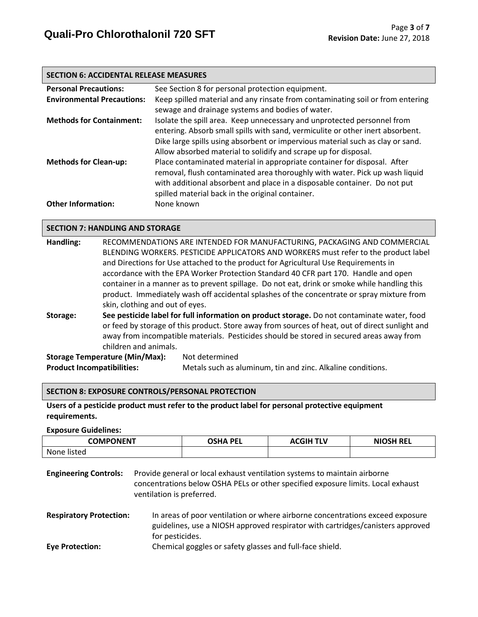### **SECTION 6: ACCIDENTAL RELEASE MEASURES**

| <b>Personal Precautions:</b>      | See Section 8 for personal protection equipment.                               |
|-----------------------------------|--------------------------------------------------------------------------------|
| <b>Environmental Precautions:</b> | Keep spilled material and any rinsate from contaminating soil or from entering |
|                                   | sewage and drainage systems and bodies of water.                               |
| <b>Methods for Containment:</b>   | Isolate the spill area. Keep unnecessary and unprotected personnel from        |
|                                   | entering. Absorb small spills with sand, vermiculite or other inert absorbent. |
|                                   | Dike large spills using absorbent or impervious material such as clay or sand. |
|                                   | Allow absorbed material to solidify and scrape up for disposal.                |
| <b>Methods for Clean-up:</b>      | Place contaminated material in appropriate container for disposal. After       |
|                                   | removal, flush contaminated area thoroughly with water. Pick up wash liquid    |
|                                   | with additional absorbent and place in a disposable container. Do not put      |
|                                   | spilled material back in the original container.                               |
| <b>Other Information:</b>         | None known                                                                     |

### **SECTION 7: HANDLING AND STORAGE**

| Handling:                                                                                        |                                 | RECOMMENDATIONS ARE INTENDED FOR MANUFACTURING, PACKAGING AND COMMERCIAL                        |  |  |  |
|--------------------------------------------------------------------------------------------------|---------------------------------|-------------------------------------------------------------------------------------------------|--|--|--|
|                                                                                                  |                                 | BLENDING WORKERS. PESTICIDE APPLICATORS AND WORKERS must refer to the product label             |  |  |  |
|                                                                                                  |                                 | and Directions for Use attached to the product for Agricultural Use Requirements in             |  |  |  |
|                                                                                                  |                                 | accordance with the EPA Worker Protection Standard 40 CFR part 170. Handle and open             |  |  |  |
|                                                                                                  |                                 | container in a manner as to prevent spillage. Do not eat, drink or smoke while handling this    |  |  |  |
|                                                                                                  |                                 | product. Immediately wash off accidental splashes of the concentrate or spray mixture from      |  |  |  |
|                                                                                                  | skin, clothing and out of eyes. |                                                                                                 |  |  |  |
| Storage:                                                                                         |                                 | See pesticide label for full information on product storage. Do not contaminate water, food     |  |  |  |
|                                                                                                  |                                 | or feed by storage of this product. Store away from sources of heat, out of direct sunlight and |  |  |  |
| away from incompatible materials. Pesticides should be stored in secured areas away from         |                                 |                                                                                                 |  |  |  |
| children and animals.                                                                            |                                 |                                                                                                 |  |  |  |
| <b>Storage Temperature (Min/Max):</b><br>Not determined                                          |                                 |                                                                                                 |  |  |  |
| <b>Product Incompatibilities:</b><br>Metals such as aluminum, tin and zinc. Alkaline conditions. |                                 |                                                                                                 |  |  |  |

### **SECTION 8: EXPOSURE CONTROLS/PERSONAL PROTECTION**

### **Users of a pesticide product must refer to the product label for personal protective equipment requirements.**

**Exposure Guidelines:**

| <b>COMPONENT</b> | <b>OSHA PEL</b> | <b>ACGIH TI'</b> | <b>NIOSH REL</b> |
|------------------|-----------------|------------------|------------------|
| None<br>listed   |                 |                  |                  |

**Engineering Controls:** Provide general or local exhaust ventilation systems to maintain airborne concentrations below OSHA PELs or other specified exposure limits. Local exhaust ventilation is preferred.

- **Respiratory Protection:** In areas of poor ventilation or where airborne concentrations exceed exposure guidelines, use a NIOSH approved respirator with cartridges/canisters approved for pesticides.
- **Eye Protection:** Chemical goggles or safety glasses and full-face shield.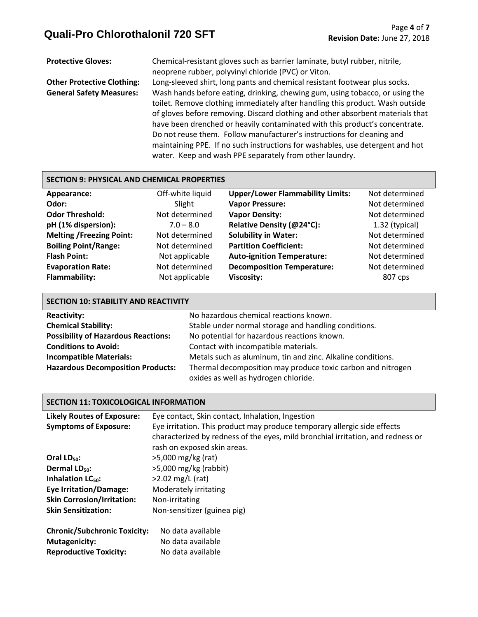# **Quali-Pro Chlorothalonil 720 SFT** Page **<sup>4</sup>** of **<sup>7</sup>**

**Protective Gloves:** Chemical-resistant gloves such as barrier laminate, butyl rubber, nitrile, neoprene rubber, polyvinyl chloride (PVC) or Viton.

**Other Protective Clothing:** Long-sleeved shirt, long pants and chemical resistant footwear plus socks. **General Safety Measures:** Wash hands before eating, drinking, chewing gum, using tobacco, or using the toilet. Remove clothing immediately after handling this product. Wash outside of gloves before removing. Discard clothing and other absorbent materials that have been drenched or heavily contaminated with this product's concentrate. Do not reuse them. Follow manufacturer's instructions for cleaning and maintaining PPE. If no such instructions for washables, use detergent and hot water. Keep and wash PPE separately from other laundry.

### **SECTION 9: PHYSICAL AND CHEMICAL PROPERTIES**

| Appearance:                     | Off-white liquid | <b>Upper/Lower Flammability Limits:</b> | Not determined |
|---------------------------------|------------------|-----------------------------------------|----------------|
| Odor:                           | Slight           | <b>Vapor Pressure:</b>                  | Not determined |
| <b>Odor Threshold:</b>          | Not determined   | <b>Vapor Density:</b>                   | Not determined |
| pH (1% dispersion):             | $7.0 - 8.0$      | Relative Density (@24°C):               | 1.32 (typical) |
| <b>Melting /Freezing Point:</b> | Not determined   | <b>Solubility in Water:</b>             | Not determined |
| <b>Boiling Point/Range:</b>     | Not determined   | <b>Partition Coefficient:</b>           | Not determined |
| <b>Flash Point:</b>             | Not applicable   | <b>Auto-ignition Temperature:</b>       | Not determined |
| <b>Evaporation Rate:</b>        | Not determined   | <b>Decomposition Temperature:</b>       | Not determined |
| <b>Flammability:</b>            | Not applicable   | <b>Viscosity:</b>                       | 807 cps        |
|                                 |                  |                                         |                |

| SECTION 10: STABILITY AND REACTIVITY       |                                                             |  |  |
|--------------------------------------------|-------------------------------------------------------------|--|--|
| <b>Reactivity:</b>                         | No hazardous chemical reactions known.                      |  |  |
| <b>Chemical Stability:</b>                 | Stable under normal storage and handling conditions.        |  |  |
| <b>Possibility of Hazardous Reactions:</b> | No potential for hazardous reactions known.                 |  |  |
| <b>Conditions to Avoid:</b>                | Contact with incompatible materials.                        |  |  |
| <b>Incompatible Materials:</b>             | Metals such as aluminum, tin and zinc. Alkaline conditions. |  |  |
| <b>Hazardous Decomposition Products:</b>   | Thermal decomposition may produce toxic carbon and nitrogen |  |  |
|                                            | oxides as well as hydrogen chloride.                        |  |  |

### **SECTION 11: TOXICOLOGICAL INFORMATION**

| <b>Likely Routes of Exposure:</b>   | Eye contact, Skin contact, Inhalation, Ingestion                                |  |  |
|-------------------------------------|---------------------------------------------------------------------------------|--|--|
| <b>Symptoms of Exposure:</b>        | Eye irritation. This product may produce temporary allergic side effects        |  |  |
|                                     | characterized by redness of the eyes, mild bronchial irritation, and redness or |  |  |
|                                     | rash on exposed skin areas.                                                     |  |  |
| Oral $LD_{50}$ :                    | $>5,000$ mg/kg (rat)                                                            |  |  |
| Dermal $LD_{50}$ :                  | $>5,000$ mg/kg (rabbit)                                                         |  |  |
| Inhalation $LC_{50}$ :              | $>2.02$ mg/L (rat)                                                              |  |  |
| <b>Eye Irritation/Damage:</b>       | Moderately irritating                                                           |  |  |
| <b>Skin Corrosion/Irritation:</b>   | Non-irritating                                                                  |  |  |
| <b>Skin Sensitization:</b>          | Non-sensitizer (guinea pig)                                                     |  |  |
| <b>Chronic/Subchronic Toxicity:</b> | No data available                                                               |  |  |
| <b>Mutagenicity:</b>                | No data available                                                               |  |  |
| <b>Reproductive Toxicity:</b>       | No data available                                                               |  |  |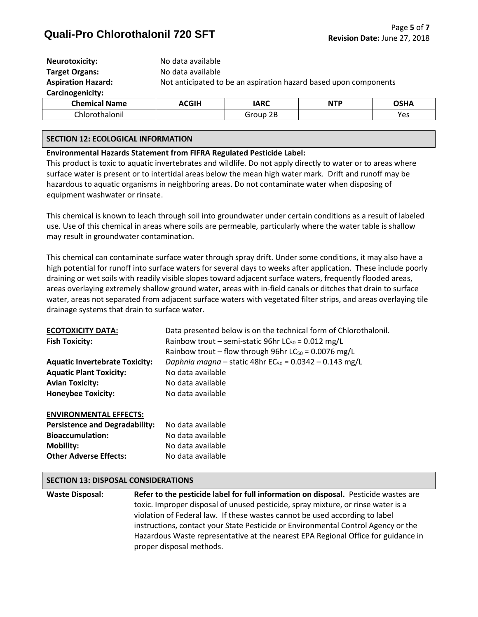# Page 5 of 7<br>**Quali-Pro Chlorothalonil 720 SFT**

| <b>Neurotoxicity:</b>     | No data available |             |                                                                  |             |
|---------------------------|-------------------|-------------|------------------------------------------------------------------|-------------|
| <b>Target Organs:</b>     | No data available |             |                                                                  |             |
| <b>Aspiration Hazard:</b> |                   |             | Not anticipated to be an aspiration hazard based upon components |             |
| Carcinogenicity:          |                   |             |                                                                  |             |
| <b>Chemical Name</b>      | <b>ACGIH</b>      | <b>IARC</b> | <b>NTP</b>                                                       | <b>OSHA</b> |
| Chlorothalonil            |                   | Group 2B    |                                                                  | Yes         |

### **SECTION 12: ECOLOGICAL INFORMATION**

### **Environmental Hazards Statement from FIFRA Regulated Pesticide Label:**

This product is toxic to aquatic invertebrates and wildlife. Do not apply directly to water or to areas where surface water is present or to intertidal areas below the mean high water mark. Drift and runoff may be hazardous to aquatic organisms in neighboring areas. Do not contaminate water when disposing of equipment washwater or rinsate.

This chemical is known to leach through soil into groundwater under certain conditions as a result of labeled use. Use of this chemical in areas where soils are permeable, particularly where the water table is shallow may result in groundwater contamination.

This chemical can contaminate surface water through spray drift. Under some conditions, it may also have a high potential for runoff into surface waters for several days to weeks after application. These include poorly draining or wet soils with readily visible slopes toward adjacent surface waters, frequently flooded areas, areas overlaying extremely shallow ground water, areas with in-field canals or ditches that drain to surface water, areas not separated from adjacent surface waters with vegetated filter strips, and areas overlaying tile drainage systems that drain to surface water.

| <b>ECOTOXICITY DATA:</b><br><b>Fish Toxicity:</b> | Data presented below is on the technical form of Chlorothalonil.<br>Rainbow trout – semi-static 96hr $LC_{50} = 0.012$ mg/L<br>Rainbow trout – flow through 96hr $LC_{50} = 0.0076$ mg/L |
|---------------------------------------------------|------------------------------------------------------------------------------------------------------------------------------------------------------------------------------------------|
| <b>Aquatic Invertebrate Toxicity:</b>             | Daphnia magna – static 48hr $EC_{50} = 0.0342 - 0.143$ mg/L                                                                                                                              |
| <b>Aquatic Plant Toxicity:</b>                    | No data available                                                                                                                                                                        |
| <b>Avian Toxicity:</b>                            | No data available                                                                                                                                                                        |
| <b>Honeybee Toxicity:</b>                         | No data available                                                                                                                                                                        |
| <b>ENVIRONMENTAL EFFECTS:</b>                     |                                                                                                                                                                                          |
| <b>Persistence and Degradability:</b>             | No data available                                                                                                                                                                        |
| <b>Bioaccumulation:</b>                           | No data available                                                                                                                                                                        |
| <b>Mobility:</b>                                  | No data available                                                                                                                                                                        |
| <b>Other Adverse Effects:</b>                     | No data available                                                                                                                                                                        |
|                                                   |                                                                                                                                                                                          |

### **SECTION 13: DISPOSAL CONSIDERATIONS**

**Waste Disposal: Refer to the pesticide label for full information on disposal.** Pesticide wastes are toxic. Improper disposal of unused pesticide, spray mixture, or rinse water is a violation of Federal law. If these wastes cannot be used according to label instructions, contact your State Pesticide or Environmental Control Agency or the Hazardous Waste representative at the nearest EPA Regional Office for guidance in proper disposal methods.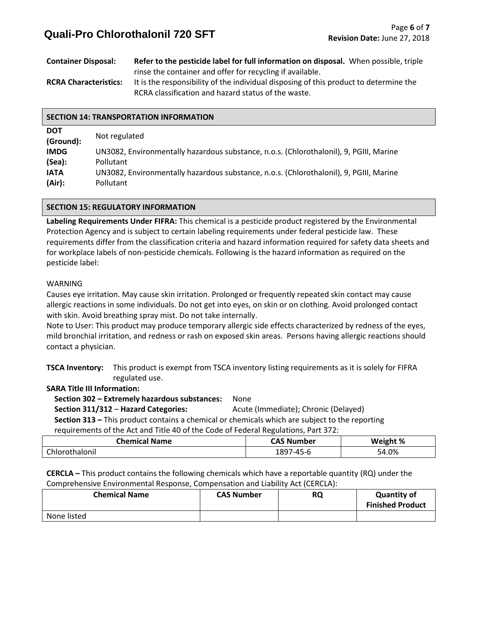| <b>Container Disposal:</b>   | Refer to the pesticide label for full information on disposal. When possible, triple  |  |
|------------------------------|---------------------------------------------------------------------------------------|--|
|                              | rinse the container and offer for recycling if available.                             |  |
| <b>RCRA Characteristics:</b> | It is the responsibility of the individual disposing of this product to determine the |  |

RCRA classification and hazard status of the waste.

### **SECTION 14: TRANSPORTATION INFORMATION**

| <b>DOT</b><br>(Ground): | Not regulated                                                                          |
|-------------------------|----------------------------------------------------------------------------------------|
| <b>IMDG</b>             | UN3082, Environmentally hazardous substance, n.o.s. (Chlorothalonil), 9, PGIII, Marine |
| (Sea):                  | <b>Pollutant</b>                                                                       |
| <b>IATA</b>             | UN3082, Environmentally hazardous substance, n.o.s. (Chlorothalonil), 9, PGIII, Marine |
| (Air):                  | <b>Pollutant</b>                                                                       |

# **SECTION 15: REGULATORY INFORMATION**

**Labeling Requirements Under FIFRA:** This chemical is a pesticide product registered by the Environmental Protection Agency and is subject to certain labeling requirements under federal pesticide law. These requirements differ from the classification criteria and hazard information required for safety data sheets and for workplace labels of non-pesticide chemicals. Following is the hazard information as required on the pesticide label:

### WARNING

Causes eye irritation. May cause skin irritation. Prolonged or frequently repeated skin contact may cause allergic reactions in some individuals. Do not get into eyes, on skin or on clothing. Avoid prolonged contact with skin. Avoid breathing spray mist. Do not take internally.

Note to User: This product may produce temporary allergic side effects characterized by redness of the eyes, mild bronchial irritation, and redness or rash on exposed skin areas. Persons having allergic reactions should contact a physician.

**TSCA Inventory:** This product is exempt from TSCA inventory listing requirements as it is solely for FIFRA regulated use.

### **SARA Title III Information:**

 **Section 302 – Extremely hazardous substances:** None

 **Section 311/312** – **Hazard Categories:** Acute (Immediate); Chronic (Delayed)

 **Section 313 –** This product contains a chemical or chemicals which are subject to the reporting requirements of the Act and Title 40 of the Code of Federal Regulations, Part 372:

| $\sim$ 0.000 0.000 0.000 0.000 0.000 0.000 0.000 0.000 0.000 0.000 0.000 0.000 0.000 0.000 0.000 0.000 0.000 0.000 0.000 0.000 0.000 0.000 0.000 0.000 0.000 0.000 0.000 0.000 0.000 0.000 0.000 0.000 0.000 0.000 0.000 0.000 |            |          |  |
|--------------------------------------------------------------------------------------------------------------------------------------------------------------------------------------------------------------------------------|------------|----------|--|
| <b>Chemical Name</b>                                                                                                                                                                                                           | CAS Number | Weight % |  |
| Chlorothalonil                                                                                                                                                                                                                 | 1897-45-6  | 54.0%    |  |

**CERCLA –** This product contains the following chemicals which have a reportable quantity (RQ) under the Comprehensive Environmental Response, Compensation and Liability Act (CERCLA):

| <b>Chemical Name</b> | <b>CAS Number</b> | <b>RQ</b> | <b>Quantity of</b><br><b>Finished Product</b> |
|----------------------|-------------------|-----------|-----------------------------------------------|
| None listed          |                   |           |                                               |